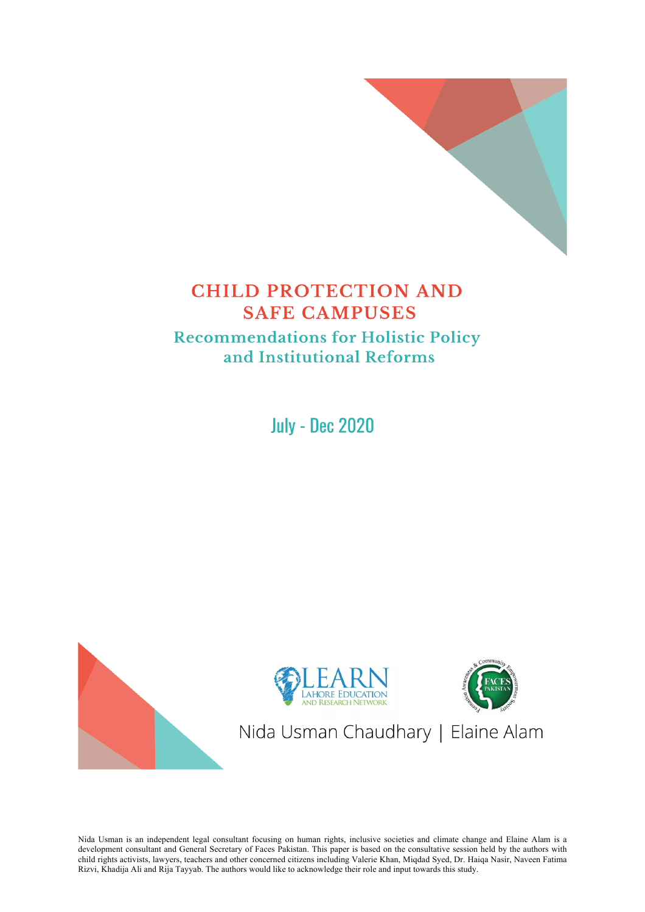

# **CHILD PROTECTION AND SAFE CAMPUSES Recommendations for Holistic Policy** and Institutional Reforms

**July - Dec 2020** 



Nida Usman is an independent legal consultant focusing on human rights, inclusive societies and climate change and Elaine Alam is a development consultant and General Secretary of Faces Pakistan. This paper is based on the consultative session held by the authors with child rights activists, lawyers, teachers and other concerned citizens including Valerie Khan, Miqdad Syed, Dr. Haiqa Nasir, Naveen Fatima Rizvi, Khadija Ali and Rija Tayyab. The authors would like to acknowledge their role and input towards this study.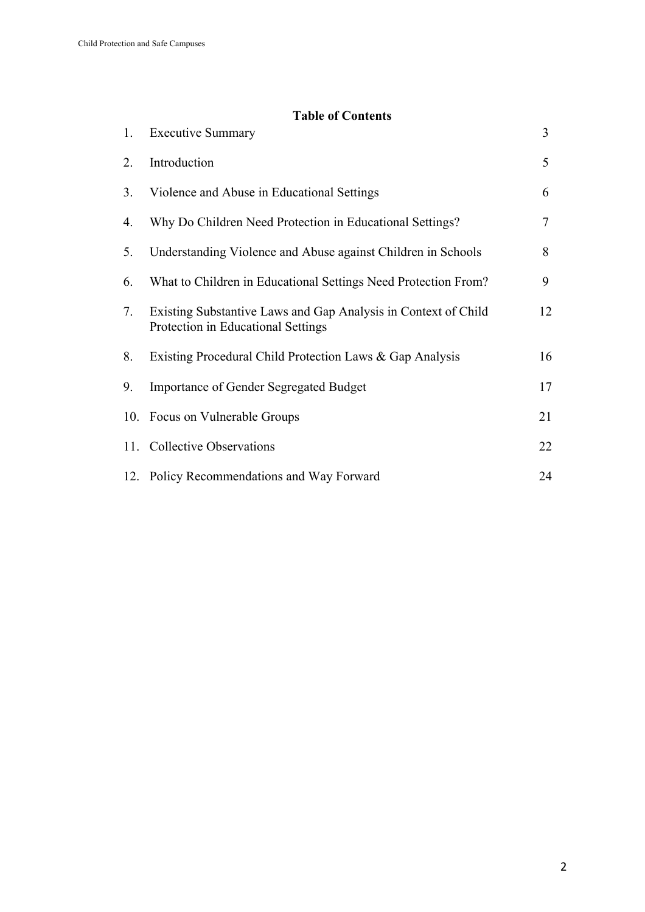# **Table of Contents**

| 1. | <b>Executive Summary</b>                                                                             | 3  |
|----|------------------------------------------------------------------------------------------------------|----|
| 2. | Introduction                                                                                         | 5  |
| 3. | Violence and Abuse in Educational Settings                                                           | 6  |
| 4. | Why Do Children Need Protection in Educational Settings?                                             | 7  |
| 5. | Understanding Violence and Abuse against Children in Schools                                         | 8  |
| 6. | What to Children in Educational Settings Need Protection From?                                       | 9  |
| 7. | Existing Substantive Laws and Gap Analysis in Context of Child<br>Protection in Educational Settings | 12 |
| 8. | Existing Procedural Child Protection Laws & Gap Analysis                                             | 16 |
| 9. | <b>Importance of Gender Segregated Budget</b>                                                        | 17 |
|    | 10. Focus on Vulnerable Groups                                                                       | 21 |
|    | 11. Collective Observations                                                                          | 22 |
|    | 12. Policy Recommendations and Way Forward                                                           | 24 |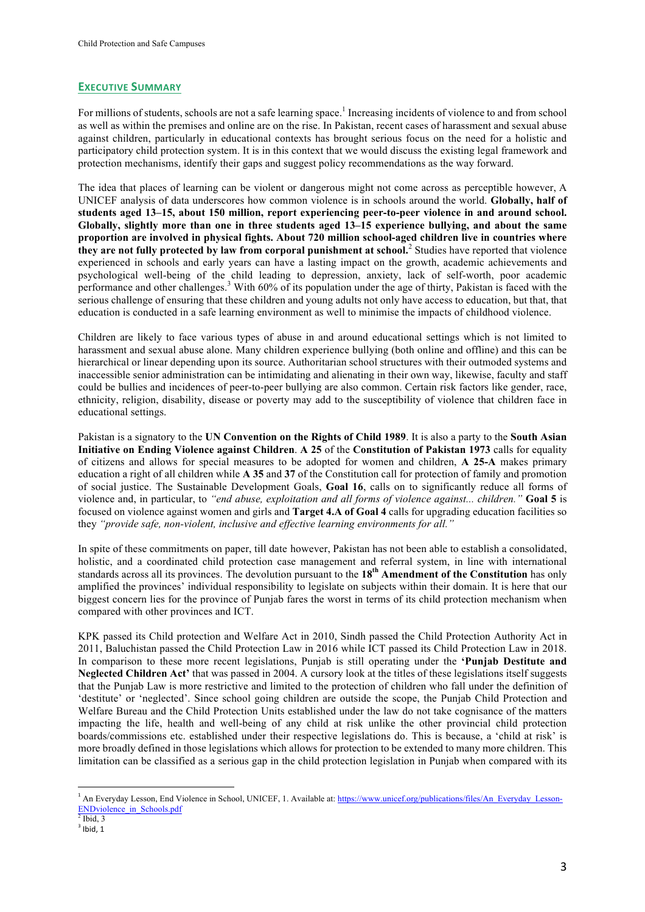#### **EXECUTIVE SUMMARY**

For millions of students, schools are not a safe learning space.<sup>1</sup> Increasing incidents of violence to and from school as well as within the premises and online are on the rise. In Pakistan, recent cases of harassment and sexual abuse against children, particularly in educational contexts has brought serious focus on the need for a holistic and participatory child protection system. It is in this context that we would discuss the existing legal framework and protection mechanisms, identify their gaps and suggest policy recommendations as the way forward.

The idea that places of learning can be violent or dangerous might not come across as perceptible however, A UNICEF analysis of data underscores how common violence is in schools around the world. **Globally, half of students aged 13–15, about 150 million, report experiencing peer-to-peer violence in and around school. Globally, slightly more than one in three students aged 13–15 experience bullying, and about the same proportion are involved in physical fights. About 720 million school-aged children live in countries where they are not fully protected by law from corporal punishment at school.**<sup>2</sup> Studies have reported that violence experienced in schools and early years can have a lasting impact on the growth, academic achievements and psychological well-being of the child leading to depression, anxiety, lack of self-worth, poor academic performance and other challenges.<sup>3</sup> With 60% of its population under the age of thirty, Pakistan is faced with the serious challenge of ensuring that these children and young adults not only have access to education, but that, that education is conducted in a safe learning environment as well to minimise the impacts of childhood violence.

Children are likely to face various types of abuse in and around educational settings which is not limited to harassment and sexual abuse alone. Many children experience bullying (both online and offline) and this can be hierarchical or linear depending upon its source. Authoritarian school structures with their outmoded systems and inaccessible senior administration can be intimidating and alienating in their own way, likewise, faculty and staff could be bullies and incidences of peer-to-peer bullying are also common. Certain risk factors like gender, race, ethnicity, religion, disability, disease or poverty may add to the susceptibility of violence that children face in educational settings.

Pakistan is a signatory to the **UN Convention on the Rights of Child 1989**. It is also a party to the **South Asian Initiative on Ending Violence against Children**. **A 25** of the **Constitution of Pakistan 1973** calls for equality of citizens and allows for special measures to be adopted for women and children, **A 25-A** makes primary education a right of all children while **A 35** and **37** of the Constitution call for protection of family and promotion of social justice. The Sustainable Development Goals, **Goal 16**, calls on to significantly reduce all forms of violence and, in particular, to *"end abuse, exploitation and all forms of violence against... children."* **Goal 5** is focused on violence against women and girls and **Target 4.A of Goal 4** calls for upgrading education facilities so they *"provide safe, non-violent, inclusive and effective learning environments for all."*

In spite of these commitments on paper, till date however, Pakistan has not been able to establish a consolidated, holistic, and a coordinated child protection case management and referral system, in line with international standards across all its provinces. The devolution pursuant to the **18th Amendment of the Constitution** has only amplified the provinces' individual responsibility to legislate on subjects within their domain. It is here that our biggest concern lies for the province of Punjab fares the worst in terms of its child protection mechanism when compared with other provinces and ICT.

KPK passed its Child protection and Welfare Act in 2010, Sindh passed the Child Protection Authority Act in 2011, Baluchistan passed the Child Protection Law in 2016 while ICT passed its Child Protection Law in 2018. In comparison to these more recent legislations, Punjab is still operating under the **'Punjab Destitute and Neglected Children Act'** that was passed in 2004. A cursory look at the titles of these legislations itself suggests that the Punjab Law is more restrictive and limited to the protection of children who fall under the definition of 'destitute' or 'neglected'. Since school going children are outside the scope, the Punjab Child Protection and Welfare Bureau and the Child Protection Units established under the law do not take cognisance of the matters impacting the life, health and well-being of any child at risk unlike the other provincial child protection boards/commissions etc. established under their respective legislations do. This is because, a 'child at risk' is more broadly defined in those legislations which allows for protection to be extended to many more children. This limitation can be classified as a serious gap in the child protection legislation in Punjab when compared with its

 

<sup>&</sup>lt;sup>1</sup> An Everyday Lesson, End Violence in School, UNICEF, 1. Available at: https://www.unicef.org/publications/files/An\_Everyday\_Lesson-ENDviolence\_in\_Schools.pdf

 $2$  Ibid, 3

 $3$  Ibid, 1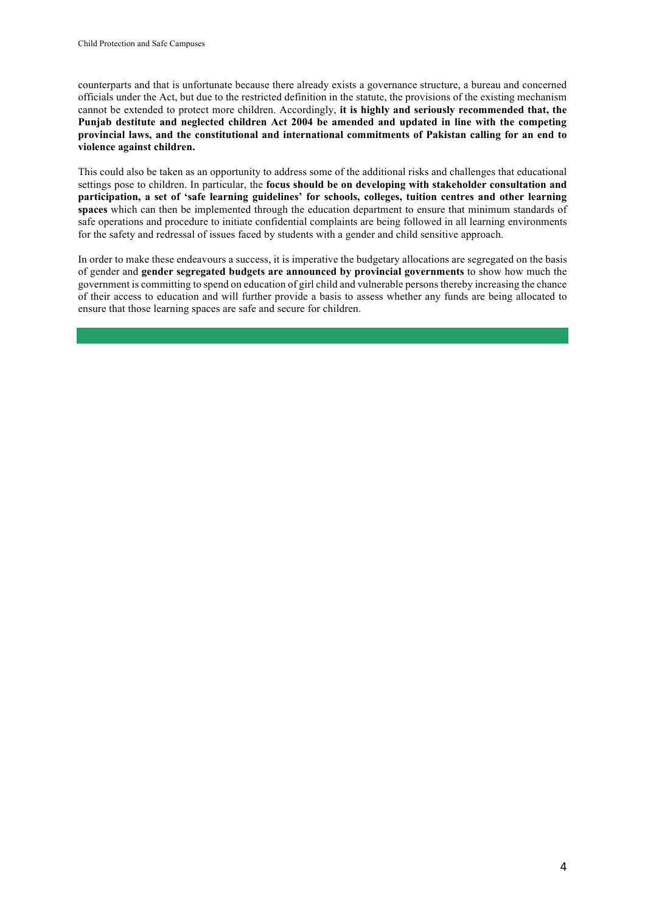counterparts and that is unfortunate because there already exists a governance structure, a bureau and concerned officials under the Act, but due to the restricted definition in the statute, the provisions of the existing mechanism cannot be extended to protect more children. Accordingly, **it is highly and seriously recommended that, the Punjab destitute and neglected children Act 2004 be amended and updated in line with the competing provincial laws, and the constitutional and international commitments of Pakistan calling for an end to violence against children.**

This could also be taken as an opportunity to address some of the additional risks and challenges that educational settings pose to children. In particular, the **focus should be on developing with stakeholder consultation and participation, a set of 'safe learning guidelines' for schools, colleges, tuition centres and other learning spaces** which can then be implemented through the education department to ensure that minimum standards of safe operations and procedure to initiate confidential complaints are being followed in all learning environments for the safety and redressal of issues faced by students with a gender and child sensitive approach.

In order to make these endeavours a success, it is imperative the budgetary allocations are segregated on the basis of gender and **gender segregated budgets are announced by provincial governments** to show how much the government is committing to spend on education of girl child and vulnerable persons thereby increasing the chance of their access to education and will further provide a basis to assess whether any funds are being allocated to ensure that those learning spaces are safe and secure for children.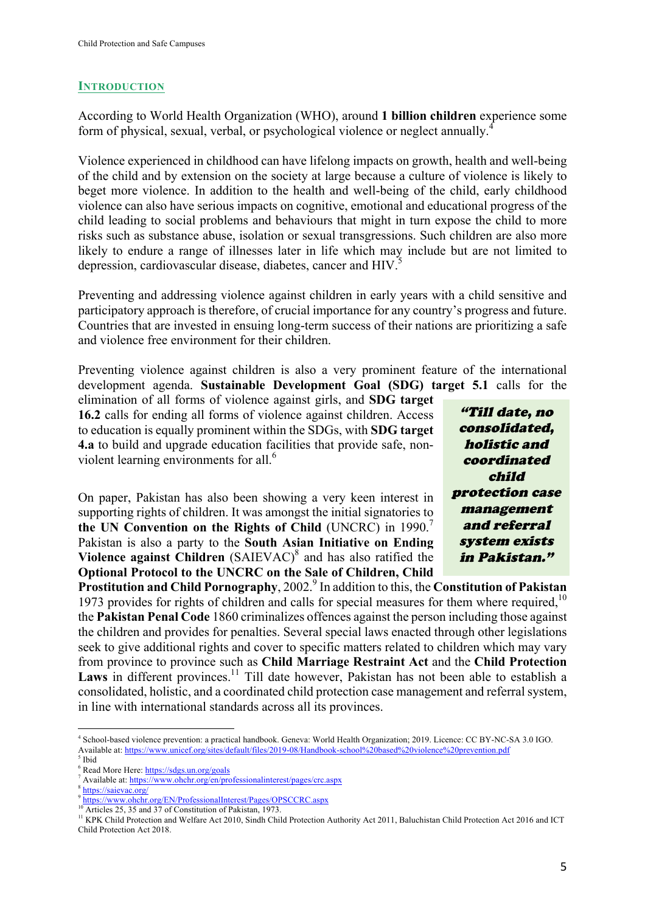### **INTRODUCTION**

According to World Health Organization (WHO), around **1 billion children** experience some form of physical, sexual, verbal, or psychological violence or neglect annually.<sup>4</sup>

Violence experienced in childhood can have lifelong impacts on growth, health and well-being of the child and by extension on the society at large because a culture of violence is likely to beget more violence. In addition to the health and well-being of the child, early childhood violence can also have serious impacts on cognitive, emotional and educational progress of the child leading to social problems and behaviours that might in turn expose the child to more risks such as substance abuse, isolation or sexual transgressions. Such children are also more likely to endure a range of illnesses later in life which may include but are not limited to depression, cardiovascular disease, diabetes, cancer and HIV.<sup>5</sup>

Preventing and addressing violence against children in early years with a child sensitive and participatory approach is therefore, of crucial importance for any country's progress and future. Countries that are invested in ensuing long-term success of their nations are prioritizing a safe and violence free environment for their children.

Preventing violence against children is also a very prominent feature of the international development agenda. **Sustainable Development Goal (SDG) target 5.1** calls for the

elimination of all forms of violence against girls, and **SDG target 16.2** calls for ending all forms of violence against children. Access to education is equally prominent within the SDGs, with **SDG target 4.a** to build and upgrade education facilities that provide safe, nonviolent learning environments for all.<sup>6</sup>

On paper, Pakistan has also been showing a very keen interest in supporting rights of children. It was amongst the initial signatories to **the UN Convention on the Rights of Child** (UNCRC) in 1990.<sup>7</sup> Pakistan is also a party to the **South Asian Initiative on Ending Violence against Children** (SAIEVAC)<sup>8</sup> and has also ratified the **Optional Protocol to the UNCRC on the Sale of Children, Child** 

"Till date, no consolidated, holistic and coordinated child protection case management and referral system exists in Pakistan."

**Prostitution and Child Pornography, 2002.**<sup>9</sup> In addition to this, the **Constitution of Pakistan** 1973 provides for rights of children and calls for special measures for them where required.<sup>10</sup> the **Pakistan Penal Code** 1860 criminalizes offences against the person including those against the children and provides for penalties. Several special laws enacted through other legislations seek to give additional rights and cover to specific matters related to children which may vary from province to province such as **Child Marriage Restraint Act** and the **Child Protection**  Laws in different provinces.<sup>11</sup> Till date however, Pakistan has not been able to establish a consolidated, holistic, and a coordinated child protection case management and referral system, in line with international standards across all its provinces.

 

<sup>10</sup> Articles 25, 35 and 37 of Constitution of Pakistan, 1973.

<sup>4</sup> School-based violence prevention: a practical handbook. Geneva: World Health Organization; 2019. Licence: CC BY-NC-SA 3.0 IGO. Available at: https://www.unicef.org/sites/default/files/2019-08/Handbook-school%20based%20violence%20prevention.pdf  $<sup>5</sup>$  Ibid</sup>

<sup>6</sup> Read More Here: https://sdgs.un.org/goals

<sup>&</sup>lt;sup>7</sup> Available at: https://www.ohchr.org/en/professionalinterest/pages/crc.aspx

<sup>&</sup>lt;sup>3</sup> https://saievac.org/

<sup>9</sup> https://www.ohchr.org/EN/ProfessionalInterest/Pages/OPSCCRC.aspx

<sup>&</sup>lt;sup>11</sup> KPK Child Protection and Welfare Act 2010, Sindh Child Protection Authority Act 2011, Baluchistan Child Protection Act 2016 and ICT Child Protection Act 2018.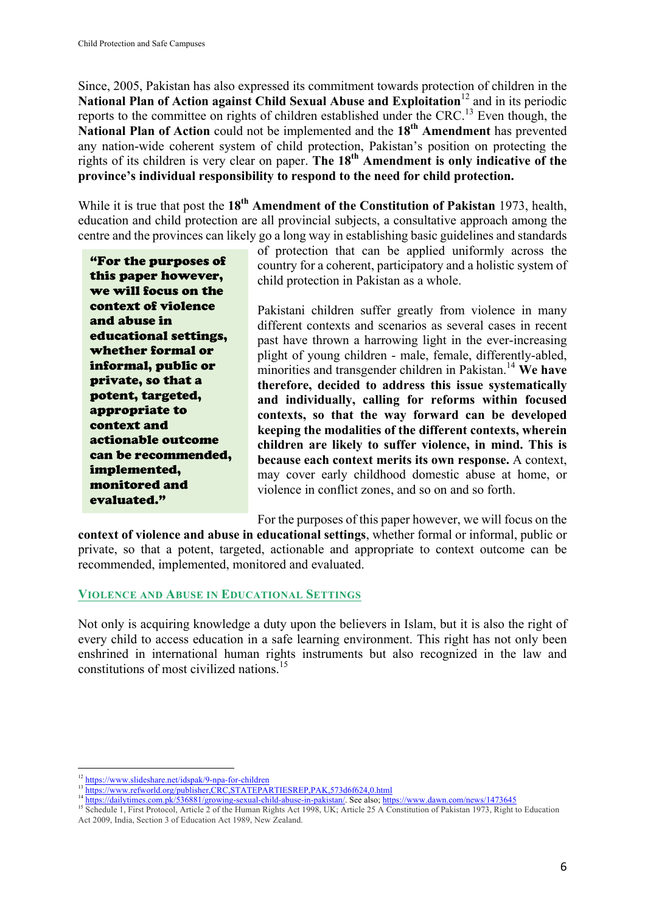Since, 2005, Pakistan has also expressed its commitment towards protection of children in the National Plan of Action against Child Sexual Abuse and Exploitation<sup>12</sup> and in its periodic reports to the committee on rights of children established under the CRC.<sup>13</sup> Even though, the **National Plan of Action** could not be implemented and the **18th Amendment** has prevented any nation-wide coherent system of child protection, Pakistan's position on protecting the rights of its children is very clear on paper. **The 18th Amendment is only indicative of the province's individual responsibility to respond to the need for child protection.**

While it is true that post the 18<sup>th</sup> **Amendment of the Constitution of Pakistan** 1973, health, education and child protection are all provincial subjects, a consultative approach among the centre and the provinces can likely go a long way in establishing basic guidelines and standards

"For the purposes of this paper however, we will focus on the context of violence and abuse in educational settings, whether formal or informal, public or private, so that a potent, targeted, appropriate to context and actionable outcome can be recommended, implemented, monitored and evaluated."

of protection that can be applied uniformly across the country for a coherent, participatory and a holistic system of child protection in Pakistan as a whole.

Pakistani children suffer greatly from violence in many different contexts and scenarios as several cases in recent past have thrown a harrowing light in the ever-increasing plight of young children - male, female, differently-abled, minorities and transgender children in Pakistan.<sup>14</sup> We have **therefore, decided to address this issue systematically and individually, calling for reforms within focused contexts, so that the way forward can be developed keeping the modalities of the different contexts, wherein children are likely to suffer violence, in mind. This is because each context merits its own response.** A context, may cover early childhood domestic abuse at home, or violence in conflict zones, and so on and so forth.

For the purposes of this paper however, we will focus on the

**context of violence and abuse in educational settings**, whether formal or informal, public or private, so that a potent, targeted, actionable and appropriate to context outcome can be recommended, implemented, monitored and evaluated.

#### **VIOLENCE AND ABUSE IN EDUCATIONAL SETTINGS**

Not only is acquiring knowledge a duty upon the believers in Islam, but it is also the right of every child to access education in a safe learning environment. This right has not only been enshrined in international human rights instruments but also recognized in the law and constitutions of most civilized nations. 15

 <sup>12</sup> https://www.slideshare.net/idspak/9-npa-for-children

<sup>&</sup>lt;sup>13</sup> https://www.refworld.org/publisher,CRC,STATEPARTIESREP,PAK,573d6f624,0.html

<sup>&</sup>lt;sup>14</sup> https://dailytimes.com.pk/536881/growing-sexual-child-abuse-in-pakistan/. See also; https://www.dawn.com/news/1473645

<sup>&</sup>lt;sup>15</sup> Schedule 1, First Protocol, Article 2 of the Human Rights Act 1998, UK; Article 25 A Constitution of Pakistan 1973, Right to Education Act 2009, India, Section 3 of Education Act 1989, New Zealand.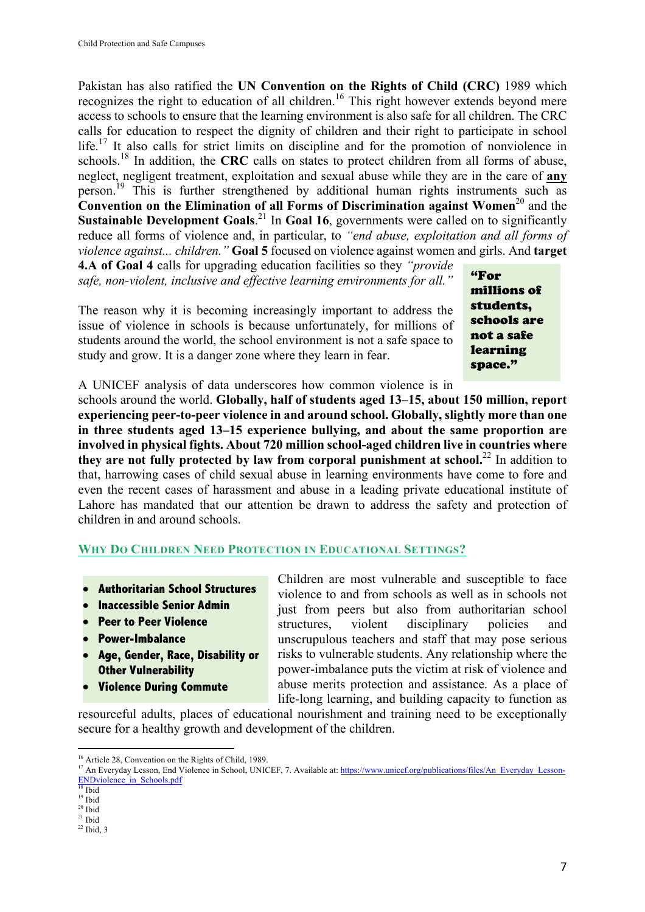Pakistan has also ratified the **UN Convention on the Rights of Child (CRC)** 1989 which recognizes the right to education of all children.<sup>16</sup> This right however extends beyond mere access to schools to ensure that the learning environment is also safe for all children. The CRC calls for education to respect the dignity of children and their right to participate in school life.<sup>17</sup> It also calls for strict limits on discipline and for the promotion of nonviolence in schools.<sup>18</sup> In addition, the **CRC** calls on states to protect children from all forms of abuse, neglect, negligent treatment, exploitation and sexual abuse while they are in the care of **any** person.<sup>19</sup> This is further strengthened by additional human rights instruments such as **Convention on the Elimination of all Forms of Discrimination against Women**<sup>20</sup> and the **Sustainable Development Goals.**<sup>21</sup> In Goal 16, governments were called on to significantly reduce all forms of violence and, in particular, to *"end abuse, exploitation and all forms of violence against... children."* **Goal 5** focused on violence against women and girls. And **target** 

**4.A of Goal 4** calls for upgrading education facilities so they *"provide safe, non-violent, inclusive and effective learning environments for all."*

The reason why it is becoming increasingly important to address the issue of violence in schools is because unfortunately, for millions of students around the world, the school environment is not a safe space to study and grow. It is a danger zone where they learn in fear.

"For millions of students, schools are not a safe learning space."

A UNICEF analysis of data underscores how common violence is in

schools around the world. **Globally, half of students aged 13–15, about 150 million, report experiencing peer-to-peer violence in and around school. Globally, slightly more than one in three students aged 13–15 experience bullying, and about the same proportion are involved in physical fights. About 720 million school-aged children live in countries where**  they are not fully protected by law from corporal punishment at school.<sup>22</sup> In addition to that, harrowing cases of child sexual abuse in learning environments have come to fore and even the recent cases of harassment and abuse in a leading private educational institute of Lahore has mandated that our attention be drawn to address the safety and protection of children in and around schools.

# **WHY DO CHILDREN NEED PROTECTION IN EDUCATIONAL SETTINGS?**

- **Authoritarian School Structures**
- **Inaccessible Senior Admin**
- **Peer to Peer Violence**
- **Power-Imbalance**
- **Age, Gender, Race, Disability or Other Vulnerability**
- **Violence During Commute**

Children are most vulnerable and susceptible to face violence to and from schools as well as in schools not just from peers but also from authoritarian school structures, violent disciplinary policies and unscrupulous teachers and staff that may pose serious risks to vulnerable students. Any relationship where the power-imbalance puts the victim at risk of violence and abuse merits protection and assistance. As a place of life-long learning, and building capacity to function as

resourceful adults, places of educational nourishment and training need to be exceptionally secure for a healthy growth and development of the children.

 <sup>16</sup> Article 28, Convention on the Rights of Child, 1989.

<sup>&</sup>lt;sup>17</sup> An Everyday Lesson, End Violence in School, UNICEF, 7. Available at: https://www.unicef.org/publications/files/An\_Everyday\_Lesson-ENDviolence\_in\_Schools.pdf

<sup>18</sup> Ibid  $19$  Ibid

 $20$  Ibid

 $21$  Ibid

 $22$  Ibid, 3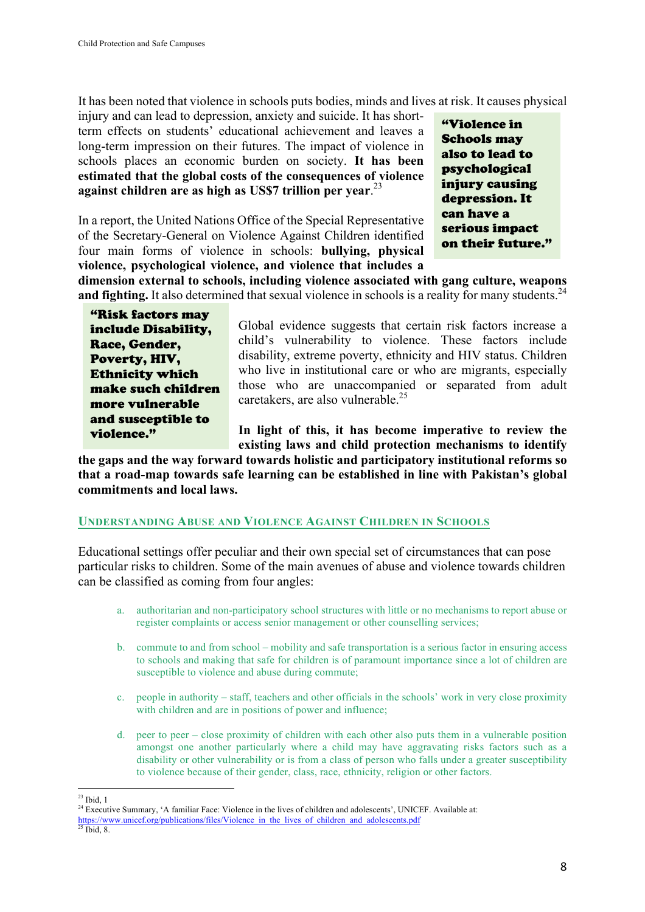It has been noted that violence in schools puts bodies, minds and lives at risk. It causes physical

injury and can lead to depression, anxiety and suicide. It has shortterm effects on students' educational achievement and leaves a long-term impression on their futures. The impact of violence in schools places an economic burden on society. **It has been estimated that the global costs of the consequences of violence against children are as high as US\$7 trillion per year**. 23

In a report, the United Nations Office of the Special Representative of the Secretary-General on Violence Against Children identified four main forms of violence in schools: **bullying, physical violence, psychological violence, and violence that includes a** 

"Violence in Schools may also to lead to psychological injury causing depression. It can have a serious impact on their future."

**dimension external to schools, including violence associated with gang culture, weapons and fighting.** It also determined that sexual violence in schools is a reality for many students.<sup>24</sup>

"Risk factors may include Disability, Race, Gender, Poverty, HIV, Ethnicity which make such children more vulnerable and susceptible to violence."

Global evidence suggests that certain risk factors increase a child's vulnerability to violence. These factors include disability, extreme poverty, ethnicity and HIV status. Children who live in institutional care or who are migrants, especially those who are unaccompanied or separated from adult caretakers, are also vulnerable.<sup>25</sup>

**In light of this, it has become imperative to review the existing laws and child protection mechanisms to identify** 

**the gaps and the way forward towards holistic and participatory institutional reforms so that a road-map towards safe learning can be established in line with Pakistan's global commitments and local laws.** 

#### **UNDERSTANDING ABUSE AND VIOLENCE AGAINST CHILDREN IN SCHOOLS**

Educational settings offer peculiar and their own special set of circumstances that can pose particular risks to children. Some of the main avenues of abuse and violence towards children can be classified as coming from four angles:

- a. authoritarian and non-participatory school structures with little or no mechanisms to report abuse or register complaints or access senior management or other counselling services;
- b. commute to and from school mobility and safe transportation is a serious factor in ensuring access to schools and making that safe for children is of paramount importance since a lot of children are susceptible to violence and abuse during commute;
- c. people in authority staff, teachers and other officials in the schools' work in very close proximity with children and are in positions of power and influence;
- d. peer to peer close proximity of children with each other also puts them in a vulnerable position amongst one another particularly where a child may have aggravating risks factors such as a disability or other vulnerability or is from a class of person who falls under a greater susceptibility to violence because of their gender, class, race, ethnicity, religion or other factors.

  $23$  Ibid, 1

<sup>&</sup>lt;sup>24</sup> Executive Summary, 'A familiar Face: Violence in the lives of children and adolescents', UNICEF. Available at:

https://www.unicef.org/publications/files/Violence in the lives of children and adolescents.pdf

 $^{25}$  Ibid, 8.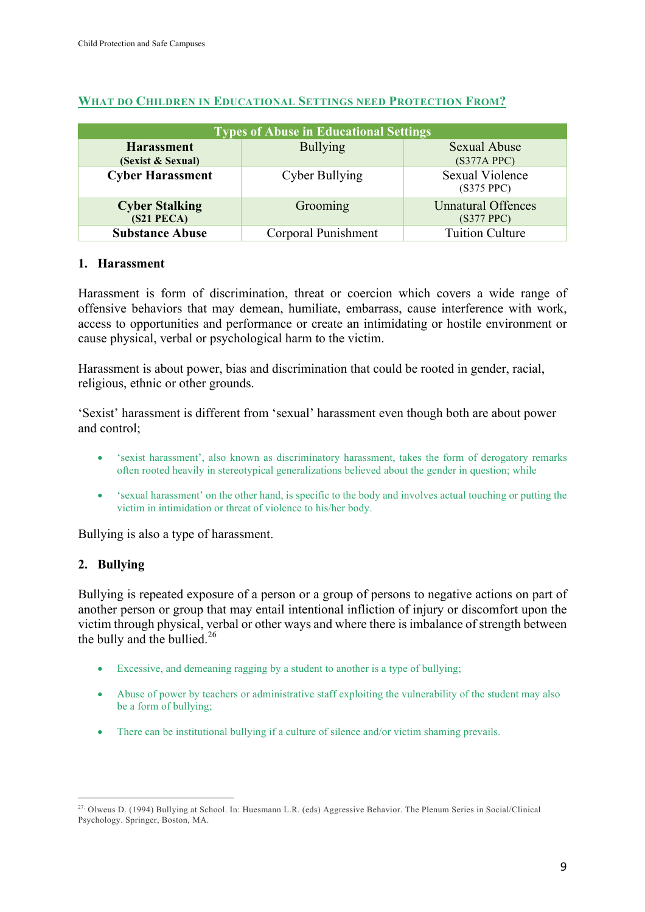| <b>Types of Abuse in Educational Settings</b> |                     |                                         |  |  |
|-----------------------------------------------|---------------------|-----------------------------------------|--|--|
| <b>Harassment</b><br>(Sexist & Sexual)        | <b>Bullying</b>     | <b>Sexual Abuse</b><br>$(S377A$ PPC $)$ |  |  |
| <b>Cyber Harassment</b>                       | Cyber Bullying      | <b>Sexual Violence</b><br>(S375 PPC)    |  |  |
| <b>Cyber Stalking</b><br>(S21 PECA)           | Grooming            | <b>Unnatural Offences</b><br>(S377 PPC) |  |  |
| <b>Substance Abuse</b>                        | Corporal Punishment | <b>Tuition Culture</b>                  |  |  |

### **WHAT DO CHILDREN IN EDUCATIONAL SETTINGS NEED PROTECTION FROM?**

#### **1. Harassment**

Harassment is form of discrimination, threat or coercion which covers a wide range of offensive behaviors that may demean, humiliate, embarrass, cause interference with work, access to opportunities and performance or create an intimidating or hostile environment or cause physical, verbal or psychological harm to the victim.

Harassment is about power, bias and discrimination that could be rooted in gender, racial, religious, ethnic or other grounds.

'Sexist' harassment is different from 'sexual' harassment even though both are about power and control;

- 'sexist harassment', also known as discriminatory harassment, takes the form of derogatory remarks often rooted heavily in stereotypical generalizations believed about the gender in question; while
- 'sexual harassment' on the other hand, is specific to the body and involves actual touching or putting the victim in intimidation or threat of violence to his/her body.

Bullying is also a type of harassment.

# **2. Bullying**

Bullying is repeated exposure of a person or a group of persons to negative actions on part of another person or group that may entail intentional infliction of injury or discomfort upon the victim through physical, verbal or other ways and where there is imbalance of strength between the bully and the bullied.<sup>26</sup>

- Excessive, and demeaning ragging by a student to another is a type of bullying;
- Abuse of power by teachers or administrative staff exploiting the vulnerability of the student may also be a form of bullying;
- There can be institutional bullying if a culture of silence and/or victim shaming prevails.

 27. Olweus D. (1994) Bullying at School. In: Huesmann L.R. (eds) Aggressive Behavior. The Plenum Series in Social/Clinical Psychology. Springer, Boston, MA.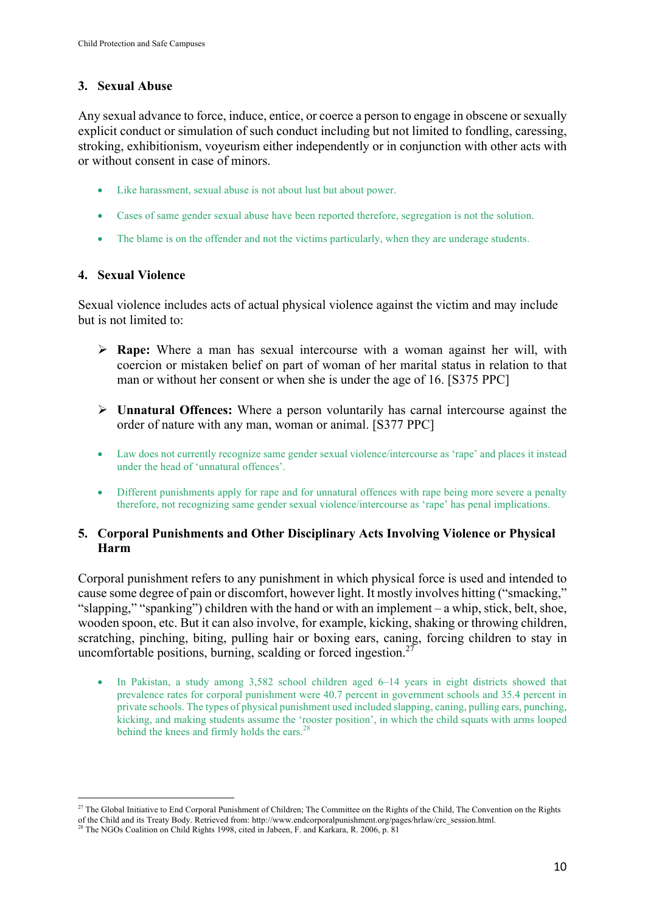# **3. Sexual Abuse**

Any sexual advance to force, induce, entice, or coerce a person to engage in obscene or sexually explicit conduct or simulation of such conduct including but not limited to fondling, caressing, stroking, exhibitionism, voyeurism either independently or in conjunction with other acts with or without consent in case of minors.

- Like harassment, sexual abuse is not about lust but about power.
- Cases of same gender sexual abuse have been reported therefore, segregation is not the solution.
- The blame is on the offender and not the victims particularly, when they are underage students.

# **4. Sexual Violence**

Sexual violence includes acts of actual physical violence against the victim and may include but is not limited to:

- Ø **Rape:** Where a man has sexual intercourse with a woman against her will, with coercion or mistaken belief on part of woman of her marital status in relation to that man or without her consent or when she is under the age of 16. [S375 PPC]
- Ø **Unnatural Offences:** Where a person voluntarily has carnal intercourse against the order of nature with any man, woman or animal. [S377 PPC]
- Law does not currently recognize same gender sexual violence/intercourse as 'rape' and places it instead under the head of 'unnatural offences'.
- Different punishments apply for rape and for unnatural offences with rape being more severe a penalty therefore, not recognizing same gender sexual violence/intercourse as 'rape' has penal implications.

# **5. Corporal Punishments and Other Disciplinary Acts Involving Violence or Physical Harm**

Corporal punishment refers to any punishment in which physical force is used and intended to cause some degree of pain or discomfort, however light. It mostly involves hitting ("smacking," "slapping," "spanking") children with the hand or with an implement – a whip, stick, belt, shoe, wooden spoon, etc. But it can also involve, for example, kicking, shaking or throwing children, scratching, pinching, biting, pulling hair or boxing ears, caning, forcing children to stay in uncomfortable positions, burning, scalding or forced ingestion. $27$ 

• In Pakistan, a study among 3,582 school children aged 6–14 years in eight districts showed that prevalence rates for corporal punishment were 40.7 percent in government schools and 35.4 percent in private schools. The types of physical punishment used included slapping, caning, pulling ears, punching, kicking, and making students assume the 'rooster position', in which the child squats with arms looped behind the knees and firmly holds the ears.<sup>28</sup>

 

<sup>&</sup>lt;sup>27</sup> The Global Initiative to End Corporal Punishment of Children; The Committee on the Rights of the Child, The Convention on the Rights of the Child and its Treaty Body. Retrieved from: http://www.endcorporalpunishment.org/pages/hrlaw/crc\_session.html. 28 The NGOs Coalition on Child Rights 1998, cited in Jabeen, F. and Karkara, R. 2006, p. 81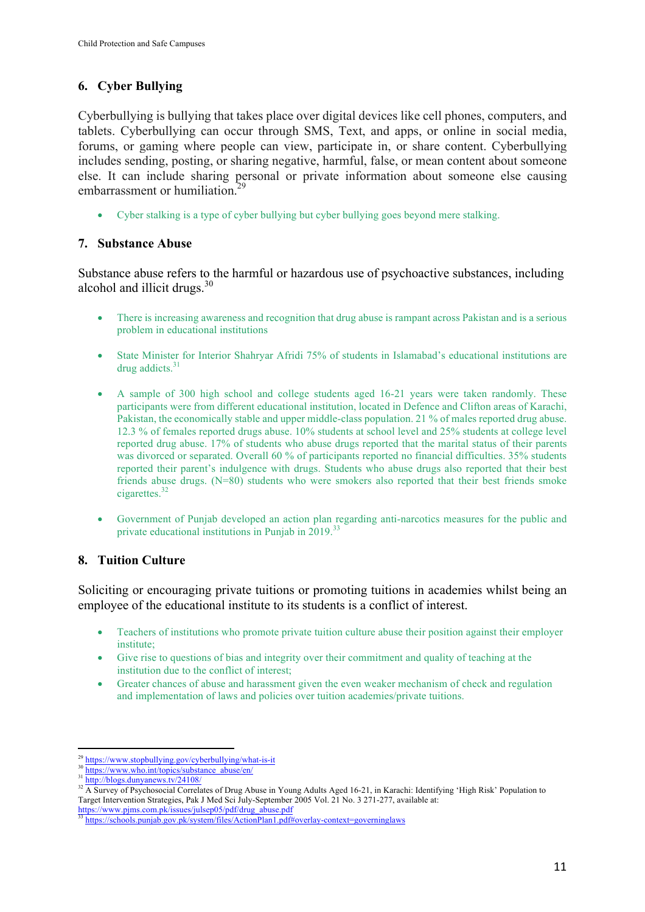# **6. Cyber Bullying**

Cyberbullying is bullying that takes place over digital devices like cell phones, computers, and tablets. Cyberbullying can occur through SMS, Text, and apps, or online in social media, forums, or gaming where people can view, participate in, or share content. Cyberbullying includes sending, posting, or sharing negative, harmful, false, or mean content about someone else. It can include sharing personal or private information about someone else causing embarrassment or humiliation.<sup>29</sup>

• Cyber stalking is a type of cyber bullying but cyber bullying goes beyond mere stalking.

# **7. Substance Abuse**

Substance abuse refers to the harmful or hazardous use of psychoactive substances, including alcohol and illicit drugs. $30$ 

- There is increasing awareness and recognition that drug abuse is rampant across Pakistan and is a serious problem in educational institutions
- State Minister for Interior Shahryar Afridi 75% of students in Islamabad's educational institutions are drug addicts. $31$
- A sample of 300 high school and college students aged 16-21 years were taken randomly. These participants were from different educational institution, located in Defence and Clifton areas of Karachi, Pakistan, the economically stable and upper middle-class population. 21 % of males reported drug abuse. 12.3 % of females reported drugs abuse. 10% students at school level and 25% students at college level reported drug abuse. 17% of students who abuse drugs reported that the marital status of their parents was divorced or separated. Overall 60 % of participants reported no financial difficulties. 35% students reported their parent's indulgence with drugs. Students who abuse drugs also reported that their best friends abuse drugs. (N=80) students who were smokers also reported that their best friends smoke cigarettes.<sup>32</sup>
- Government of Punjab developed an action plan regarding anti-narcotics measures for the public and private educational institutions in Punjab in 2019.<sup>33</sup>

# **8. Tuition Culture**

Soliciting or encouraging private tuitions or promoting tuitions in academies whilst being an employee of the educational institute to its students is a conflict of interest.

- Teachers of institutions who promote private tuition culture abuse their position against their employer institute;
- Give rise to questions of bias and integrity over their commitment and quality of teaching at the institution due to the conflict of interest;
- Greater chances of abuse and harassment given the even weaker mechanism of check and regulation and implementation of laws and policies over tuition academies/private tuitions.

 <sup>29</sup> https://www.stopbullying.gov/cyberbullying/what-is-it

<sup>&</sup>lt;sup>30</sup> https://www.who.int/topics/substance\_abuse/en/

<sup>31</sup> http://blogs.dunyanews.tv/24108/

<sup>&</sup>lt;sup>32</sup> A Survey of Psychosocial Correlates of Drug Abuse in Young Adults Aged 16-21, in Karachi: Identifying 'High Risk' Population to Target Intervention Strategies, Pak J Med Sci July-September 2005 Vol. 21 No. 3 271-277, available at:

https://www.pjms.com.pk/issues/julsep05/pdf/drug\_abuse.pdf

https://schools.punjab.gov.pk/system/files/ActionPlan1.pdf#overlay-context=governinglaws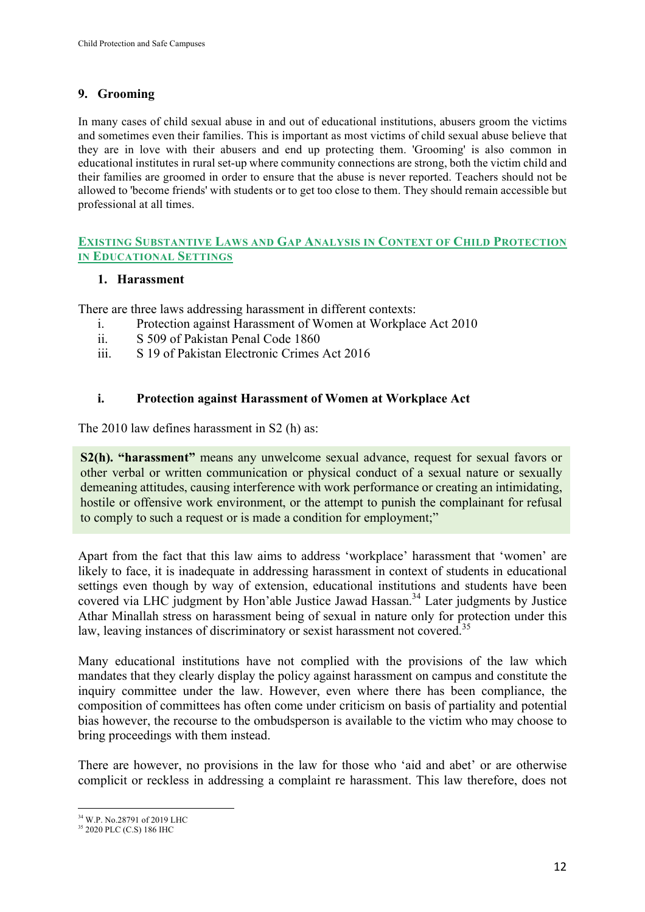# **9. Grooming**

In many cases of child sexual abuse in and out of educational institutions, abusers groom the victims and sometimes even their families. This is important as most victims of child sexual abuse believe that they are in love with their abusers and end up protecting them. 'Grooming' is also common in educational institutes in rural set-up where community connections are strong, both the victim child and their families are groomed in order to ensure that the abuse is never reported. Teachers should not be allowed to 'become friends' with students or to get too close to them. They should remain accessible but professional at all times.

### **EXISTING SUBSTANTIVE LAWS AND GAP ANALYSIS IN CONTEXT OF CHILD PROTECTION IN EDUCATIONAL SETTINGS**

### **1. Harassment**

There are three laws addressing harassment in different contexts:

- i. Protection against Harassment of Women at Workplace Act 2010
- ii. S 509 of Pakistan Penal Code 1860
- iii. S 19 of Pakistan Electronic Crimes Act 2016

### **i. Protection against Harassment of Women at Workplace Act**

The 2010 law defines harassment in S2 (h) as:

**S2(h). "harassment"** means any unwelcome sexual advance, request for sexual favors or other verbal or written communication or physical conduct of a sexual nature or sexually demeaning attitudes, causing interference with work performance or creating an intimidating, hostile or offensive work environment, or the attempt to punish the complainant for refusal to comply to such a request or is made a condition for employment;"

Apart from the fact that this law aims to address 'workplace' harassment that 'women' are likely to face, it is inadequate in addressing harassment in context of students in educational settings even though by way of extension, educational institutions and students have been covered via LHC judgment by Hon'able Justice Jawad Hassan.<sup>34</sup> Later judgments by Justice Athar Minallah stress on harassment being of sexual in nature only for protection under this law, leaving instances of discriminatory or sexist harassment not covered.<sup>35</sup>

Many educational institutions have not complied with the provisions of the law which mandates that they clearly display the policy against harassment on campus and constitute the inquiry committee under the law. However, even where there has been compliance, the composition of committees has often come under criticism on basis of partiality and potential bias however, the recourse to the ombudsperson is available to the victim who may choose to bring proceedings with them instead.

There are however, no provisions in the law for those who 'aid and abet' or are otherwise complicit or reckless in addressing a complaint re harassment. This law therefore, does not

 <sup>34</sup> W.P. No.28791 of 2019 LHC

<sup>&</sup>lt;sup>35</sup> 2020 PLC (C.S) 186 IHC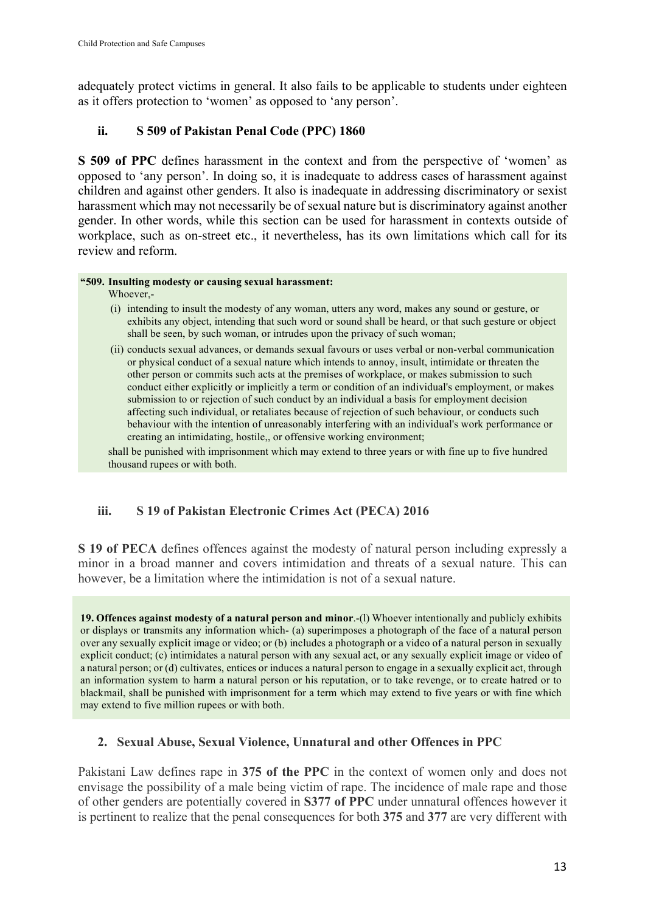adequately protect victims in general. It also fails to be applicable to students under eighteen as it offers protection to 'women' as opposed to 'any person'.

# **ii. S 509 of Pakistan Penal Code (PPC) 1860**

**S 509 of PPC** defines harassment in the context and from the perspective of 'women' as opposed to 'any person'. In doing so, it is inadequate to address cases of harassment against children and against other genders. It also is inadequate in addressing discriminatory or sexist harassment which may not necessarily be of sexual nature but is discriminatory against another gender. In other words, while this section can be used for harassment in contexts outside of workplace, such as on-street etc., it nevertheless, has its own limitations which call for its review and reform.

### **"509. Insulting modesty or causing sexual harassment:**

Whoever,-

- (i) intending to insult the modesty of any woman, utters any word, makes any sound or gesture, or exhibits any object, intending that such word or sound shall be heard, or that such gesture or object shall be seen, by such woman, or intrudes upon the privacy of such woman;
- (ii) conducts sexual advances, or demands sexual favours or uses verbal or non-verbal communication or physical conduct of a sexual nature which intends to annoy, insult, intimidate or threaten the other person or commits such acts at the premises of workplace, or makes submission to such conduct either explicitly or implicitly a term or condition of an individual's employment, or makes submission to or rejection of such conduct by an individual a basis for employment decision affecting such individual, or retaliates because of rejection of such behaviour, or conducts such behaviour with the intention of unreasonably interfering with an individual's work performance or creating an intimidating, hostile,, or offensive working environment;

shall be punished with imprisonment which may extend to three years or with fine up to five hundred thousand rupees or with both.

# **iii. S 19 of Pakistan Electronic Crimes Act (PECA) 2016**

**S 19 of PECA** defines offences against the modesty of natural person including expressly a minor in a broad manner and covers intimidation and threats of a sexual nature. This can however, be a limitation where the intimidation is not of a sexual nature.

**19. Offences against modesty of a natural person and minor**.-(l) Whoever intentionally and publicly exhibits or displays or transmits any information which- (a) superimposes a photograph of the face of a natural person over any sexually explicit image or video; or (b) includes a photograph or a video of a natural person in sexually explicit conduct; (c) intimidates a natural person with any sexual act, or any sexually explicit image or video of a natural person; or (d) cultivates, entices or induces a natural person to engage in a sexually explicit act, through an information system to harm a natural person or his reputation, or to take revenge, or to create hatred or to blackmail, shall be punished with imprisonment for a term which may extend to five years or with fine which may extend to five million rupees or with both.

# **2. Sexual Abuse, Sexual Violence, Unnatural and other Offences in PPC**

Pakistani Law defines rape in **375 of the PPC** in the context of women only and does not envisage the possibility of a male being victim of rape. The incidence of male rape and those of other genders are potentially covered in **S377 of PPC** under unnatural offences however it is pertinent to realize that the penal consequences for both **375** and **377** are very different with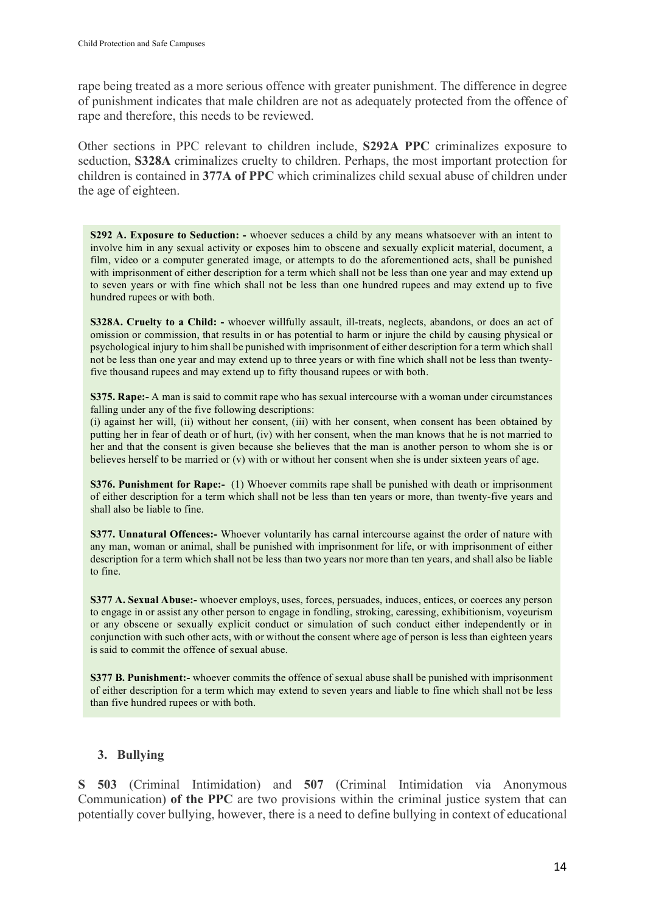rape being treated as a more serious offence with greater punishment. The difference in degree of punishment indicates that male children are not as adequately protected from the offence of rape and therefore, this needs to be reviewed.

Other sections in PPC relevant to children include, **S292A PPC** criminalizes exposure to seduction, **S328A** criminalizes cruelty to children. Perhaps, the most important protection for children is contained in **377A of PPC** which criminalizes child sexual abuse of children under the age of eighteen.

**S292 A. Exposure to Seduction: -** whoever seduces a child by any means whatsoever with an intent to involve him in any sexual activity or exposes him to obscene and sexually explicit material, document, a film, video or a computer generated image, or attempts to do the aforementioned acts, shall be punished with imprisonment of either description for a term which shall not be less than one year and may extend up to seven years or with fine which shall not be less than one hundred rupees and may extend up to five hundred rupees or with both.

**S328A. Cruelty to a Child: -** whoever willfully assault, ill-treats, neglects, abandons, or does an act of omission or commission, that results in or has potential to harm or injure the child by causing physical or psychological injury to him shall be punished with imprisonment of either description for a term which shall not be less than one year and may extend up to three years or with fine which shall not be less than twentyfive thousand rupees and may extend up to fifty thousand rupees or with both.

**S375. Rape:-** A man is said to commit rape who has sexual intercourse with a woman under circumstances falling under any of the five following descriptions:

(i) against her will, (ii) without her consent, (iii) with her consent, when consent has been obtained by putting her in fear of death or of hurt, (iv) with her consent, when the man knows that he is not married to her and that the consent is given because she believes that the man is another person to whom she is or believes herself to be married or (v) with or without her consent when she is under sixteen years of age.

**S376. Punishment for Rape:-** (1) Whoever commits rape shall be punished with death or imprisonment of either description for a term which shall not be less than ten years or more, than twenty-five years and shall also be liable to fine.

**S377. Unnatural Offences:-** Whoever voluntarily has carnal intercourse against the order of nature with any man, woman or animal, shall be punished with imprisonment for life, or with imprisonment of either description for a term which shall not be less than two years nor more than ten years, and shall also be liable to fine.

**S377 A. Sexual Abuse:-** whoever employs, uses, forces, persuades, induces, entices, or coerces any person to engage in or assist any other person to engage in fondling, stroking, caressing, exhibitionism, voyeurism or any obscene or sexually explicit conduct or simulation of such conduct either independently or in conjunction with such other acts, with or without the consent where age of person is less than eighteen years is said to commit the offence of sexual abuse.

**S377 B. Punishment:-** whoever commits the offence of sexual abuse shall be punished with imprisonment of either description for a term which may extend to seven years and liable to fine which shall not be less than five hundred rupees or with both.

### **3. Bullying**

**S 503** (Criminal Intimidation) and **507** (Criminal Intimidation via Anonymous Communication) **of the PPC** are two provisions within the criminal justice system that can potentially cover bullying, however, there is a need to define bullying in context of educational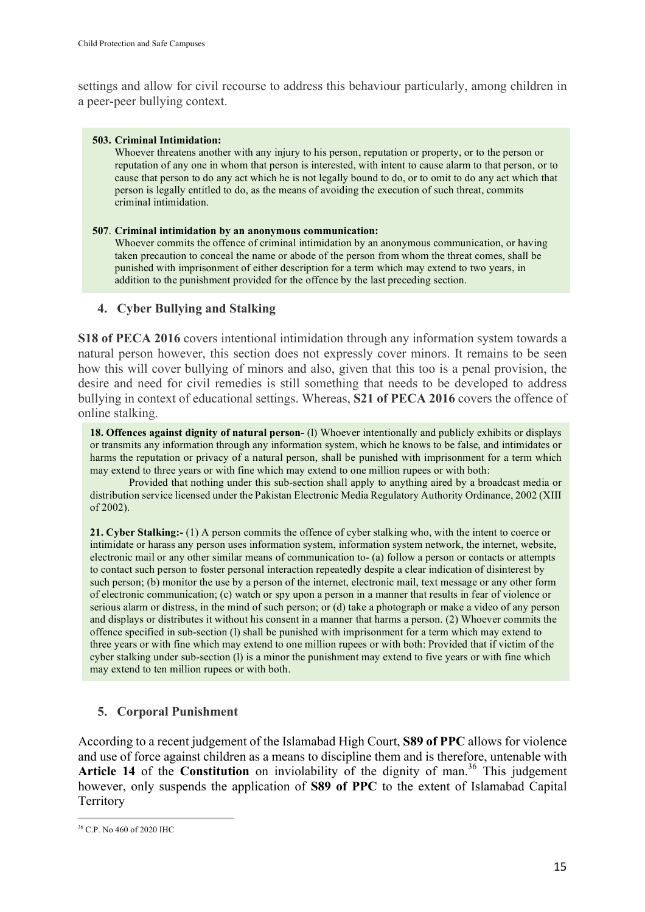settings and allow for civil recourse to address this behaviour particularly, among children in a peer-peer bullying context.

#### **503. Criminal Intimidation:**

Whoever threatens another with any injury to his person, reputation or property, or to the person or reputation of any one in whom that person is interested, with intent to cause alarm to that person, or to cause that person to do any act which he is not legally bound to do, or to omit to do any act which that person is legally entitled to do, as the means of avoiding the execution of such threat, commits criminal intimidation.

#### **507**. **Criminal intimidation by an anonymous communication:**

Whoever commits the offence of criminal intimidation by an anonymous communication, or having taken precaution to conceal the name or abode of the person from whom the threat comes, shall be punished with imprisonment of either description for a term which may extend to two years, in addition to the punishment provided for the offence by the last preceding section.

### **4. Cyber Bullying and Stalking**

**S18 of PECA 2016** covers intentional intimidation through any information system towards a natural person however, this section does not expressly cover minors. It remains to be seen how this will cover bullying of minors and also, given that this too is a penal provision, the desire and need for civil remedies is still something that needs to be developed to address bullying in context of educational settings. Whereas, **S21 of PECA 2016** covers the offence of online stalking.

**18. Offences against dignity of natural person-** (l) Whoever intentionally and publicly exhibits or displays or transmits any information through any information system, which he knows to be false, and intimidates or harms the reputation or privacy of a natural person, shall be punished with imprisonment for a term which may extend to three years or with fine which may extend to one million rupees or with both:

Provided that nothing under this sub-section shall apply to anything aired by a broadcast media or distribution service licensed under the Pakistan Electronic Media Regulatory Authority Ordinance, 2002 (XIII of 2002).

**21. Cyber Stalking:-** (1) A person commits the offence of cyber stalking who, with the intent to coerce or intimidate or harass any person uses information system, information system network, the internet, website, electronic mail or any other similar means of communication to- (a) follow a person or contacts or attempts to contact such person to foster personal interaction repeatedly despite a clear indication of disinterest by such person; (b) monitor the use by a person of the internet, electronic mail, text message or any other form of electronic communication; (c) watch or spy upon a person in a manner that results in fear of violence or serious alarm or distress, in the mind of such person; or (d) take a photograph or make a video of any person and displays or distributes it without his consent in a manner that harms a person. (2) Whoever commits the offence specified in sub-section (l) shall be punished with imprisonment for a term which may extend to three years or with fine which may extend to one million rupees or with both: Provided that if victim of the cyber stalking under sub-section (l) is a minor the punishment may extend to five years or with fine which may extend to ten million rupees or with both.

#### **5. Corporal Punishment**

According to a recent judgement of the Islamabad High Court, **S89 of PPC** allows for violence and use of force against children as a means to discipline them and is therefore, untenable with **Article 14** of the **Constitution** on inviolability of the dignity of man. <sup>36</sup> This judgement however, only suspends the application of **S89 of PPC** to the extent of Islamabad Capital **Territory** 

 <sup>36</sup> C.P. No 460 of 2020 IHC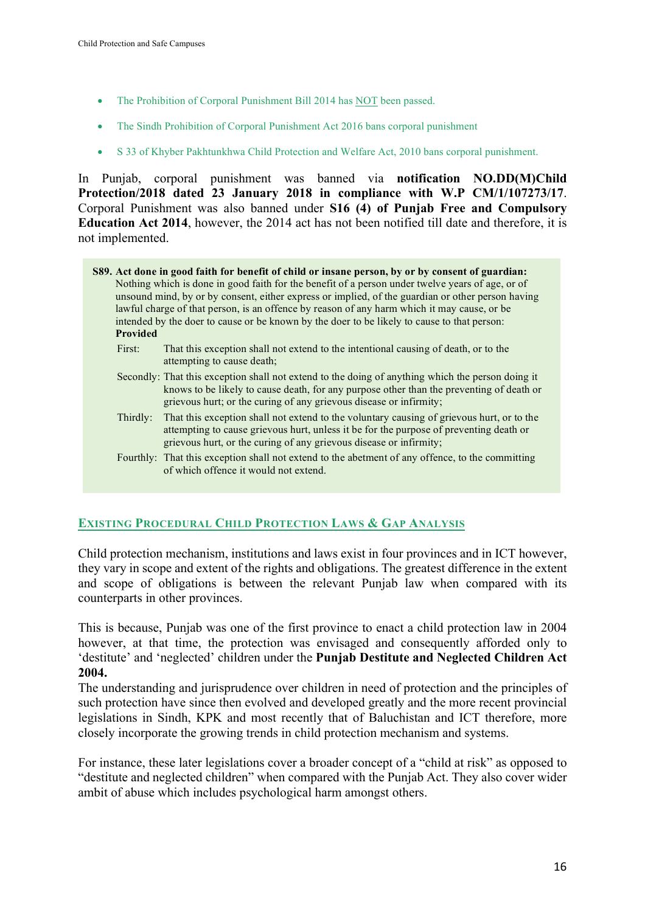- The Prohibition of Corporal Punishment Bill 2014 has NOT been passed.
- The Sindh Prohibition of Corporal Punishment Act 2016 bans corporal punishment
- S 33 of Khyber Pakhtunkhwa Child Protection and Welfare Act, 2010 bans corporal punishment.

In Punjab, corporal punishment was banned via **notification NO.DD(M)Child Protection/2018 dated 23 January 2018 in compliance with W.P CM/1/107273/17**. Corporal Punishment was also banned under **S16 (4) of Punjab Free and Compulsory Education Act 2014**, however, the 2014 act has not been notified till date and therefore, it is not implemented.

- **S89. Act done in good faith for benefit of child or insane person, by or by consent of guardian:** Nothing which is done in good faith for the benefit of a person under twelve years of age, or of unsound mind, by or by consent, either express or implied, of the guardian or other person having lawful charge of that person, is an offence by reason of any harm which it may cause, or be intended by the doer to cause or be known by the doer to be likely to cause to that person: **Provided**
	- First: That this exception shall not extend to the intentional causing of death, or to the attempting to cause death;
	- Secondly: That this exception shall not extend to the doing of anything which the person doing it knows to be likely to cause death, for any purpose other than the preventing of death or grievous hurt; or the curing of any grievous disease or infirmity;
	- Thirdly: That this exception shall not extend to the voluntary causing of grievous hurt, or to the attempting to cause grievous hurt, unless it be for the purpose of preventing death or grievous hurt, or the curing of any grievous disease or infirmity;
	- Fourthly: That this exception shall not extend to the abetment of any offence, to the committing of which offence it would not extend.

# **EXISTING PROCEDURAL CHILD PROTECTION LAWS & GAP ANALYSIS**

Child protection mechanism, institutions and laws exist in four provinces and in ICT however, they vary in scope and extent of the rights and obligations. The greatest difference in the extent and scope of obligations is between the relevant Punjab law when compared with its counterparts in other provinces.

This is because, Punjab was one of the first province to enact a child protection law in 2004 however, at that time, the protection was envisaged and consequently afforded only to 'destitute' and 'neglected' children under the **Punjab Destitute and Neglected Children Act 2004.**

The understanding and jurisprudence over children in need of protection and the principles of such protection have since then evolved and developed greatly and the more recent provincial legislations in Sindh, KPK and most recently that of Baluchistan and ICT therefore, more closely incorporate the growing trends in child protection mechanism and systems.

For instance, these later legislations cover a broader concept of a "child at risk" as opposed to "destitute and neglected children" when compared with the Punjab Act. They also cover wider ambit of abuse which includes psychological harm amongst others.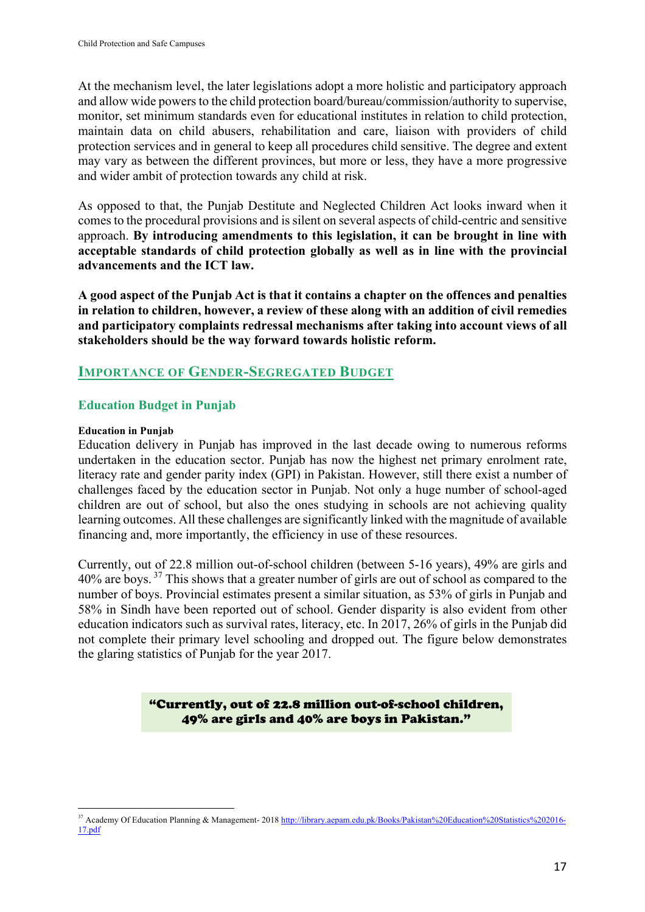At the mechanism level, the later legislations adopt a more holistic and participatory approach and allow wide powers to the child protection board/bureau/commission/authority to supervise, monitor, set minimum standards even for educational institutes in relation to child protection, maintain data on child abusers, rehabilitation and care, liaison with providers of child protection services and in general to keep all procedures child sensitive. The degree and extent may vary as between the different provinces, but more or less, they have a more progressive and wider ambit of protection towards any child at risk.

As opposed to that, the Punjab Destitute and Neglected Children Act looks inward when it comes to the procedural provisions and is silent on several aspects of child-centric and sensitive approach. **By introducing amendments to this legislation, it can be brought in line with acceptable standards of child protection globally as well as in line with the provincial advancements and the ICT law.**

**A good aspect of the Punjab Act is that it contains a chapter on the offences and penalties in relation to children, however, a review of these along with an addition of civil remedies and participatory complaints redressal mechanisms after taking into account views of all stakeholders should be the way forward towards holistic reform.**

# **IMPORTANCE OF GENDER-SEGREGATED BUDGET**

# **Education Budget in Punjab**

 

#### **Education in Punjab**

Education delivery in Punjab has improved in the last decade owing to numerous reforms undertaken in the education sector. Punjab has now the highest net primary enrolment rate, literacy rate and gender parity index (GPI) in Pakistan. However, still there exist a number of challenges faced by the education sector in Punjab. Not only a huge number of school-aged children are out of school, but also the ones studying in schools are not achieving quality learning outcomes. All these challenges are significantly linked with the magnitude of available financing and, more importantly, the efficiency in use of these resources.

Currently, out of 22.8 million out-of-school children (between 5-16 years), 49% are girls and 40% are boys. <sup>37</sup> This shows that a greater number of girls are out of school as compared to the number of boys. Provincial estimates present a similar situation, as 53% of girls in Punjab and 58% in Sindh have been reported out of school. Gender disparity is also evident from other education indicators such as survival rates, literacy, etc. In 2017, 26% of girls in the Punjab did not complete their primary level schooling and dropped out. The figure below demonstrates the glaring statistics of Punjab for the year 2017.

> "Currently, out of 22.8 million out-of-school children, 49% are girls and 40% are boys in Pakistan."

<sup>&</sup>lt;sup>37</sup> Academy Of Education Planning & Management- 2018 http://library.aepam.edu.pk/Books/Pakistan%20Education%20Statistics%202016-17.pdf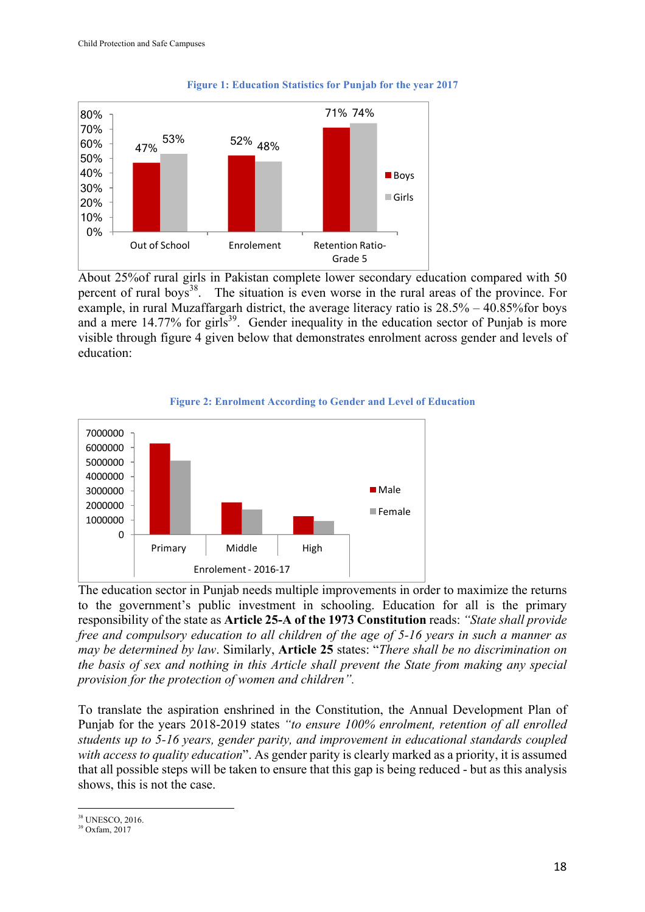

#### **Figure 1: Education Statistics for Punjab for the year 2017**

About 25%of rural girls in Pakistan complete lower secondary education compared with 50 percent of rural boys<sup>38</sup>. The situation is even worse in the rural areas of the province. For example, in rural Muzaffargarh district, the average literacy ratio is 28.5% – 40.85%for boys and a mere 14.77% for girls<sup>39</sup>. Gender inequality in the education sector of Punjab is more visible through figure 4 given below that demonstrates enrolment across gender and levels of education:





The education sector in Punjab needs multiple improvements in order to maximize the returns to the government's public investment in schooling. Education for all is the primary responsibility of the state as **Article 25-A of the 1973 Constitution** reads: *"State shall provide free and compulsory education to all children of the age of 5-16 years in such a manner as may be determined by law*. Similarly, **Article 25** states: "*There shall be no discrimination on the basis of sex and nothing in this Article shall prevent the State from making any special provision for the protection of women and children".*

To translate the aspiration enshrined in the Constitution, the Annual Development Plan of Punjab for the years 2018-2019 states *"to ensure 100% enrolment, retention of all enrolled students up to 5-16 years, gender parity, and improvement in educational standards coupled with access to quality education*". As gender parity is clearly marked as a priority, it is assumed that all possible steps will be taken to ensure that this gap is being reduced - but as this analysis shows, this is not the case.

 <sup>38</sup> UNESCO, 2016.

<sup>39</sup> Oxfam, 2017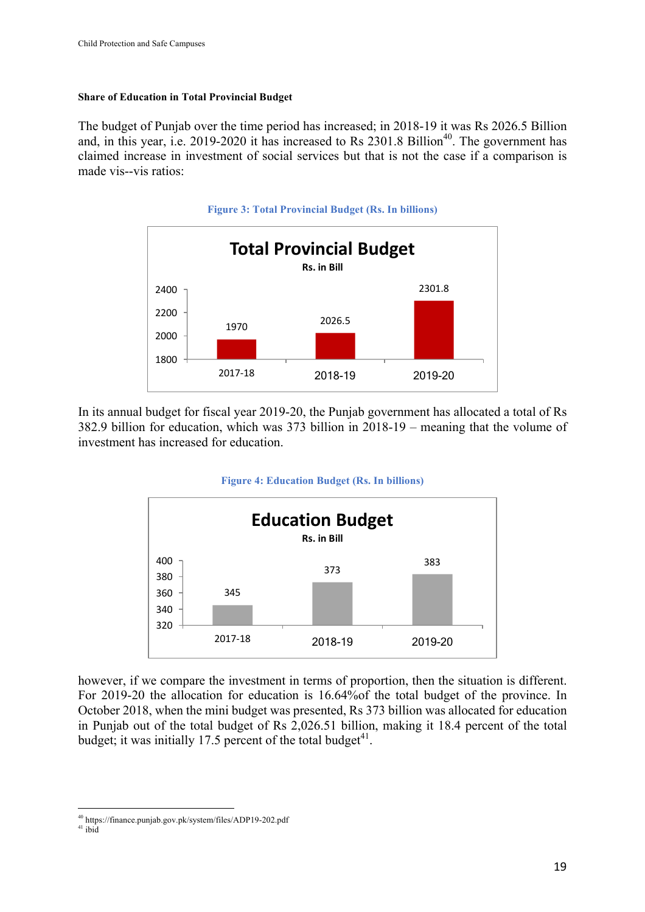#### **Share of Education in Total Provincial Budget**

The budget of Punjab over the time period has increased; in 2018-19 it was Rs 2026.5 Billion and, in this year, i.e. 2019-2020 it has increased to Rs  $2301.8$  Billion<sup>40</sup>. The government has claimed increase in investment of social services but that is not the case if a comparison is made vis--vis ratios:



In its annual budget for fiscal year 2019-20, the Punjab government has allocated a total of Rs 382.9 billion for education, which was 373 billion in 2018-19 – meaning that the volume of investment has increased for education.

#### **Figure 4: Education Budget (Rs. In billions)**



however, if we compare the investment in terms of proportion, then the situation is different. For 2019-20 the allocation for education is 16.64%of the total budget of the province. In October 2018, when the mini budget was presented, Rs 373 billion was allocated for education in Punjab out of the total budget of Rs 2,026.51 billion, making it 18.4 percent of the total budget; it was initially 17.5 percent of the total budget $^{41}$ .

 <sup>40</sup> https://finance.punjab.gov.pk/system/files/ADP19-202.pdf

 $41$  ibid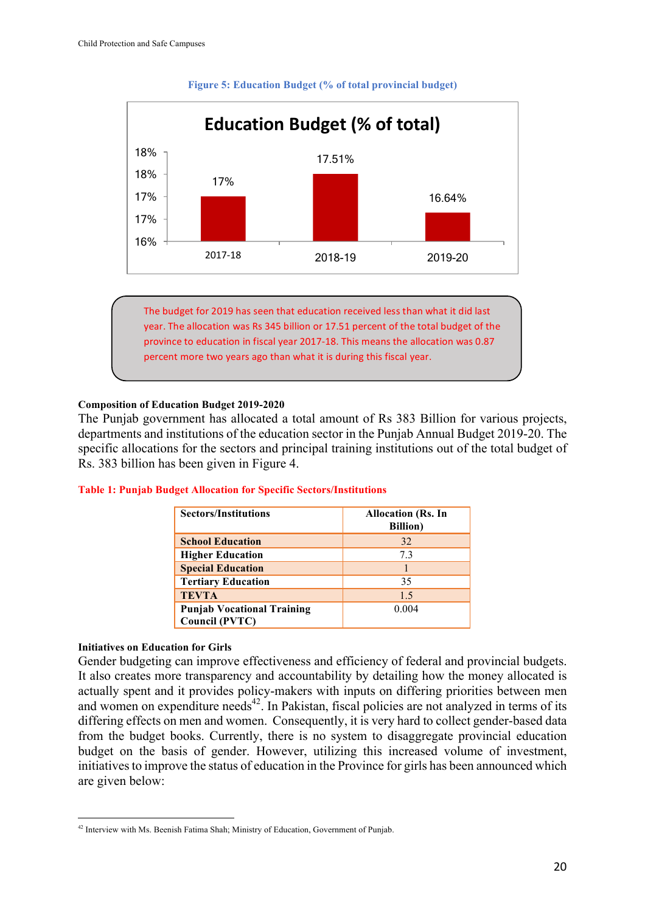

#### **Figure 5: Education Budget (% of total provincial budget)**

The budget for 2019 has seen that education received less than what it did last year. The allocation was Rs 345 billion or 17.51 percent of the total budget of the province to education in fiscal year 2017-18. This means the allocation was 0.87 percent more two years ago than what it is during this fiscal year.

#### **Composition of Education Budget 2019-2020**

The Punjab government has allocated a total amount of Rs 383 Billion for various projects, departments and institutions of the education sector in the Punjab Annual Budget 2019-20. The specific allocations for the sectors and principal training institutions out of the total budget of Rs. 383 billion has been given in Figure 4.

| <b>Sectors/Institutions</b>       | <b>Allocation (Rs. In</b><br><b>Billion</b> ) |
|-----------------------------------|-----------------------------------------------|
| <b>School Education</b>           | 32                                            |
| <b>Higher Education</b>           | 73                                            |
| <b>Special Education</b>          |                                               |
| <b>Tertiary Education</b>         | 35                                            |
| <b>TEVTA</b>                      | 1.5                                           |
| <b>Punjab Vocational Training</b> | 0.004                                         |
| Council (PVTC)                    |                                               |

#### **Table 1: Punjab Budget Allocation for Specific Sectors/Institutions**

#### **Initiatives on Education for Girls**

Gender budgeting can improve effectiveness and efficiency of federal and provincial budgets. It also creates more transparency and accountability by detailing how the money allocated is actually spent and it provides policy-makers with inputs on differing priorities between men and women on expenditure needs<sup>42</sup>. In Pakistan, fiscal policies are not analyzed in terms of its differing effects on men and women. Consequently, it is very hard to collect gender-based data from the budget books. Currently, there is no system to disaggregate provincial education budget on the basis of gender. However, utilizing this increased volume of investment, initiatives to improve the status of education in the Province for girls has been announced which are given below:

 <sup>42</sup> Interview with Ms. Beenish Fatima Shah; Ministry of Education, Government of Punjab.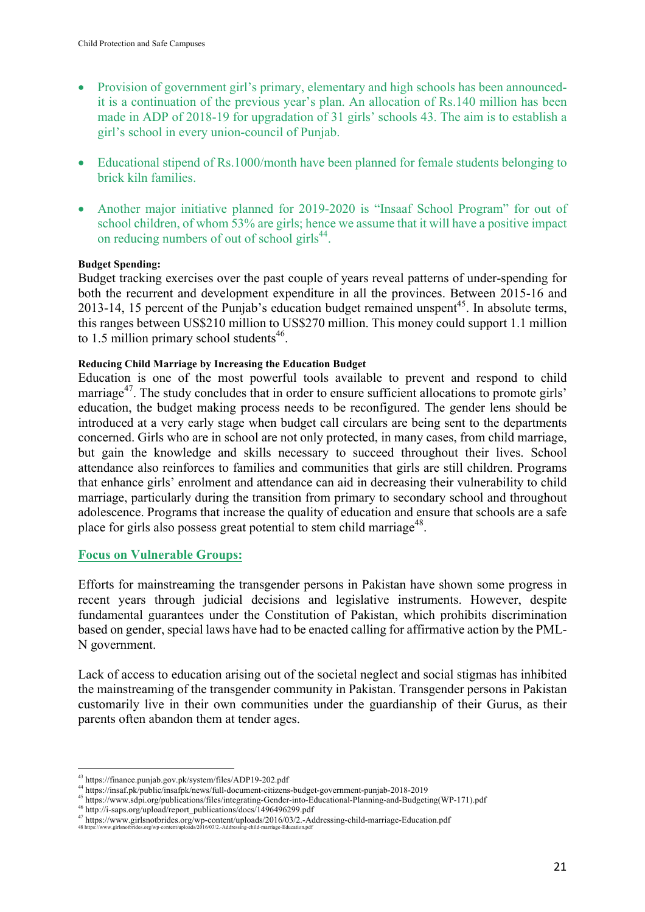- Provision of government girl's primary, elementary and high schools has been announcedit is a continuation of the previous year's plan. An allocation of Rs.140 million has been made in ADP of 2018-19 for upgradation of 31 girls' schools 43. The aim is to establish a girl's school in every union-council of Punjab.
- Educational stipend of Rs.1000/month have been planned for female students belonging to brick kiln families.
- Another major initiative planned for 2019-2020 is "Insaaf School Program" for out of school children, of whom 53% are girls; hence we assume that it will have a positive impact on reducing numbers of out of school girls $^{44}$ .

#### **Budget Spending:**

Budget tracking exercises over the past couple of years reveal patterns of under-spending for both the recurrent and development expenditure in all the provinces. Between 2015-16 and 2013-14, 15 percent of the Punjab's education budget remained unspent<sup>45</sup>. In absolute terms, this ranges between US\$210 million to US\$270 million. This money could support 1.1 million to 1.5 million primary school students $46$ .

#### **Reducing Child Marriage by Increasing the Education Budget**

Education is one of the most powerful tools available to prevent and respond to child marriage<sup>47</sup>. The study concludes that in order to ensure sufficient allocations to promote girls' education, the budget making process needs to be reconfigured. The gender lens should be introduced at a very early stage when budget call circulars are being sent to the departments concerned. Girls who are in school are not only protected, in many cases, from child marriage, but gain the knowledge and skills necessary to succeed throughout their lives. School attendance also reinforces to families and communities that girls are still children. Programs that enhance girls' enrolment and attendance can aid in decreasing their vulnerability to child marriage, particularly during the transition from primary to secondary school and throughout adolescence. Programs that increase the quality of education and ensure that schools are a safe place for girls also possess great potential to stem child marriage<sup>48</sup>.

#### **Focus on Vulnerable Groups:**

Efforts for mainstreaming the transgender persons in Pakistan have shown some progress in recent years through judicial decisions and legislative instruments. However, despite fundamental guarantees under the Constitution of Pakistan, which prohibits discrimination based on gender, special laws have had to be enacted calling for affirmative action by the PML-N government.

Lack of access to education arising out of the societal neglect and social stigmas has inhibited the mainstreaming of the transgender community in Pakistan. Transgender persons in Pakistan customarily live in their own communities under the guardianship of their Gurus, as their parents often abandon them at tender ages.

 

<sup>43</sup> https://finance.punjab.gov.pk/system/files/ADP19-202.pdf

<sup>44</sup> https://insaf.pk/public/insafpk/news/full-document-citizens-budget-government-punjab-2018-2019

<sup>45</sup> https://www.sdpi.org/publications/files/integrating-Gender-into-Educational-Planning-and-Budgeting(WP-171).pdf

<sup>46</sup> http://i-saps.org/upload/report\_publications/docs/1496496299.pdf

<sup>&</sup>lt;sup>47</sup> https://www.girlsnotbrides.org/wp-content/uploads/2016/03/2.-Addressing-child-marriage-Education.pdf<br><sup>48</sup> https://www.girlsnotbrides.org/wp-content/uploads/2016/03/2.-Addressing-child-marriage-Education.pdf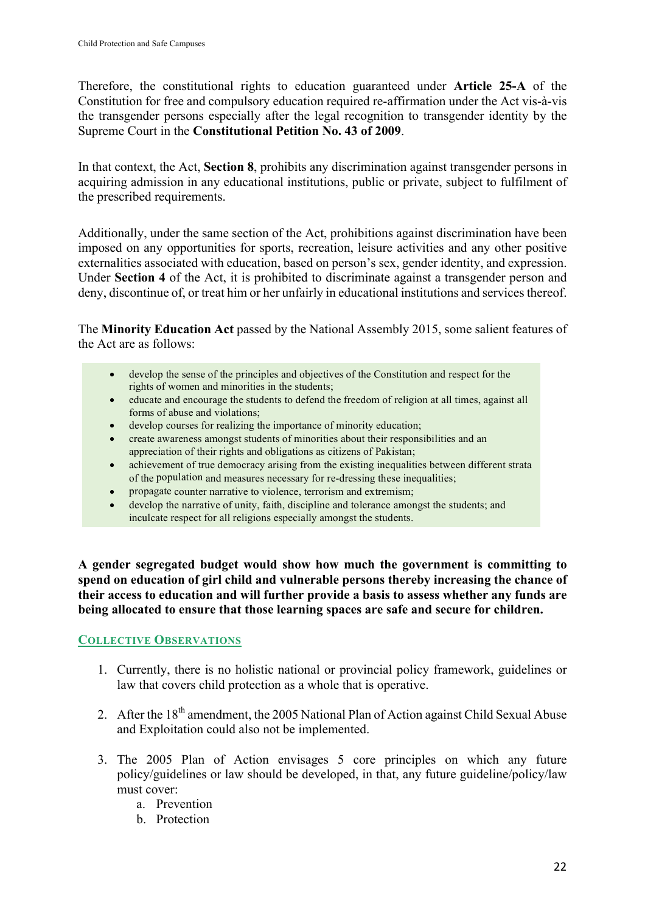Therefore, the constitutional rights to education guaranteed under **Article 25-A** of the Constitution for free and compulsory education required re-affirmation under the Act vis-à-vis the transgender persons especially after the legal recognition to transgender identity by the Supreme Court in the **Constitutional Petition No. 43 of 2009**.

In that context, the Act, **Section 8**, prohibits any discrimination against transgender persons in acquiring admission in any educational institutions, public or private, subject to fulfilment of the prescribed requirements.

Additionally, under the same section of the Act, prohibitions against discrimination have been imposed on any opportunities for sports, recreation, leisure activities and any other positive externalities associated with education, based on person's sex, gender identity, and expression. Under **Section 4** of the Act, it is prohibited to discriminate against a transgender person and deny, discontinue of, or treat him or her unfairly in educational institutions and services thereof.

The **Minority Education Act** passed by the National Assembly 2015, some salient features of the Act are as follows:

- develop the sense of the principles and objectives of the Constitution and respect for the rights of women and minorities in the students;
- educate and encourage the students to defend the freedom of religion at all times, against all forms of abuse and violations;
- develop courses for realizing the importance of minority education;
- create awareness amongst students of minorities about their responsibilities and an appreciation of their rights and obligations as citizens of Pakistan;
- achievement of true democracy arising from the existing inequalities between different strata of the population and measures necessary for re-dressing these inequalities;
- propagate counter narrative to violence, terrorism and extremism;
- develop the narrative of unity, faith, discipline and tolerance amongst the students; and inculcate respect for all religions especially amongst the students.

**A gender segregated budget would show how much the government is committing to spend on education of girl child and vulnerable persons thereby increasing the chance of their access to education and will further provide a basis to assess whether any funds are being allocated to ensure that those learning spaces are safe and secure for children.**

# **COLLECTIVE OBSERVATIONS**

- 1. Currently, there is no holistic national or provincial policy framework, guidelines or law that covers child protection as a whole that is operative.
- 2. After the 18<sup>th</sup> amendment, the 2005 National Plan of Action against Child Sexual Abuse and Exploitation could also not be implemented.
- 3. The 2005 Plan of Action envisages 5 core principles on which any future policy/guidelines or law should be developed, in that, any future guideline/policy/law must cover:
	- a. Prevention
	- b. Protection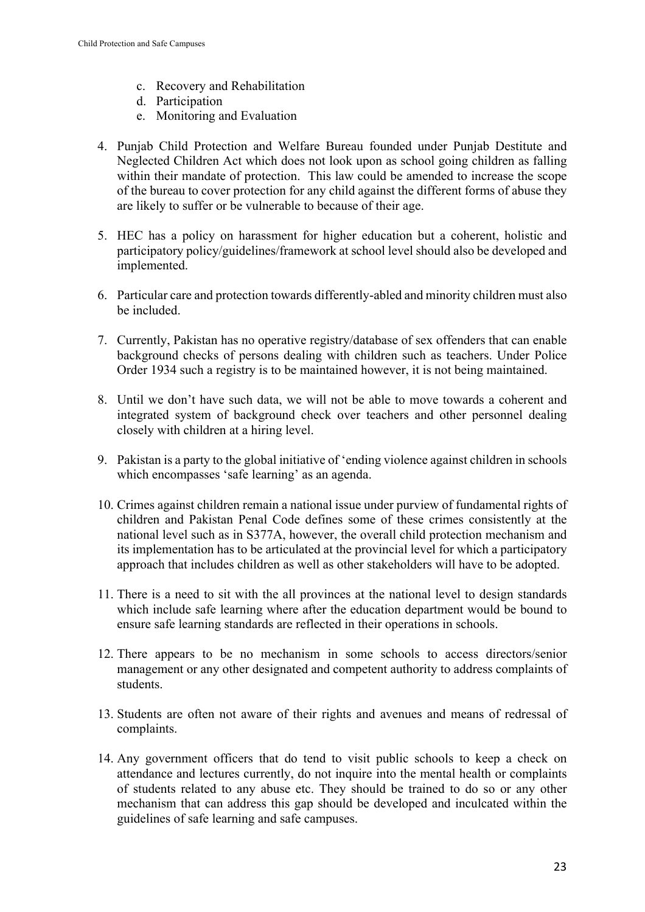- c. Recovery and Rehabilitation
- d. Participation
- e. Monitoring and Evaluation
- 4. Punjab Child Protection and Welfare Bureau founded under Punjab Destitute and Neglected Children Act which does not look upon as school going children as falling within their mandate of protection. This law could be amended to increase the scope of the bureau to cover protection for any child against the different forms of abuse they are likely to suffer or be vulnerable to because of their age.
- 5. HEC has a policy on harassment for higher education but a coherent, holistic and participatory policy/guidelines/framework at school level should also be developed and implemented.
- 6. Particular care and protection towards differently-abled and minority children must also be included.
- 7. Currently, Pakistan has no operative registry/database of sex offenders that can enable background checks of persons dealing with children such as teachers. Under Police Order 1934 such a registry is to be maintained however, it is not being maintained.
- 8. Until we don't have such data, we will not be able to move towards a coherent and integrated system of background check over teachers and other personnel dealing closely with children at a hiring level.
- 9. Pakistan is a party to the global initiative of 'ending violence against children in schools which encompasses 'safe learning' as an agenda.
- 10. Crimes against children remain a national issue under purview of fundamental rights of children and Pakistan Penal Code defines some of these crimes consistently at the national level such as in S377A, however, the overall child protection mechanism and its implementation has to be articulated at the provincial level for which a participatory approach that includes children as well as other stakeholders will have to be adopted.
- 11. There is a need to sit with the all provinces at the national level to design standards which include safe learning where after the education department would be bound to ensure safe learning standards are reflected in their operations in schools.
- 12. There appears to be no mechanism in some schools to access directors/senior management or any other designated and competent authority to address complaints of students.
- 13. Students are often not aware of their rights and avenues and means of redressal of complaints.
- 14. Any government officers that do tend to visit public schools to keep a check on attendance and lectures currently, do not inquire into the mental health or complaints of students related to any abuse etc. They should be trained to do so or any other mechanism that can address this gap should be developed and inculcated within the guidelines of safe learning and safe campuses.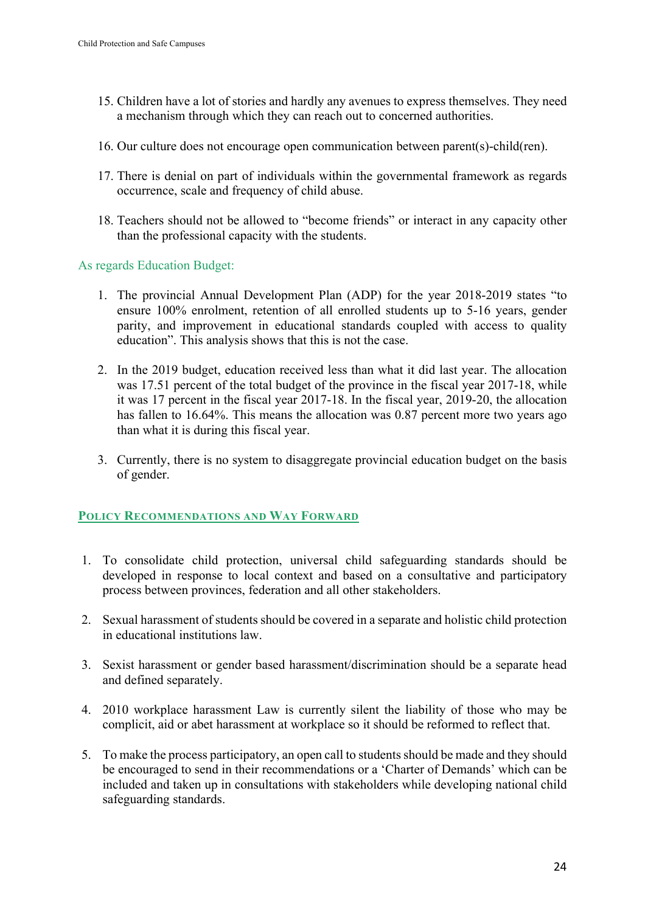- 15. Children have a lot of stories and hardly any avenues to express themselves. They need a mechanism through which they can reach out to concerned authorities.
- 16. Our culture does not encourage open communication between parent(s)-child(ren).
- 17. There is denial on part of individuals within the governmental framework as regards occurrence, scale and frequency of child abuse.
- 18. Teachers should not be allowed to "become friends" or interact in any capacity other than the professional capacity with the students.

As regards Education Budget:

- 1. The provincial Annual Development Plan (ADP) for the year 2018-2019 states "to ensure 100% enrolment, retention of all enrolled students up to 5-16 years, gender parity, and improvement in educational standards coupled with access to quality education". This analysis shows that this is not the case.
- 2. In the 2019 budget, education received less than what it did last year. The allocation was 17.51 percent of the total budget of the province in the fiscal year 2017-18, while it was 17 percent in the fiscal year 2017-18. In the fiscal year, 2019-20, the allocation has fallen to 16.64%. This means the allocation was 0.87 percent more two years ago than what it is during this fiscal year.
- 3. Currently, there is no system to disaggregate provincial education budget on the basis of gender.

# **POLICY RECOMMENDATIONS AND WAY FORWARD**

- 1. To consolidate child protection, universal child safeguarding standards should be developed in response to local context and based on a consultative and participatory process between provinces, federation and all other stakeholders.
- 2. Sexual harassment of students should be covered in a separate and holistic child protection in educational institutions law.
- 3. Sexist harassment or gender based harassment/discrimination should be a separate head and defined separately.
- 4. 2010 workplace harassment Law is currently silent the liability of those who may be complicit, aid or abet harassment at workplace so it should be reformed to reflect that.
- 5. To make the process participatory, an open call to students should be made and they should be encouraged to send in their recommendations or a 'Charter of Demands' which can be included and taken up in consultations with stakeholders while developing national child safeguarding standards.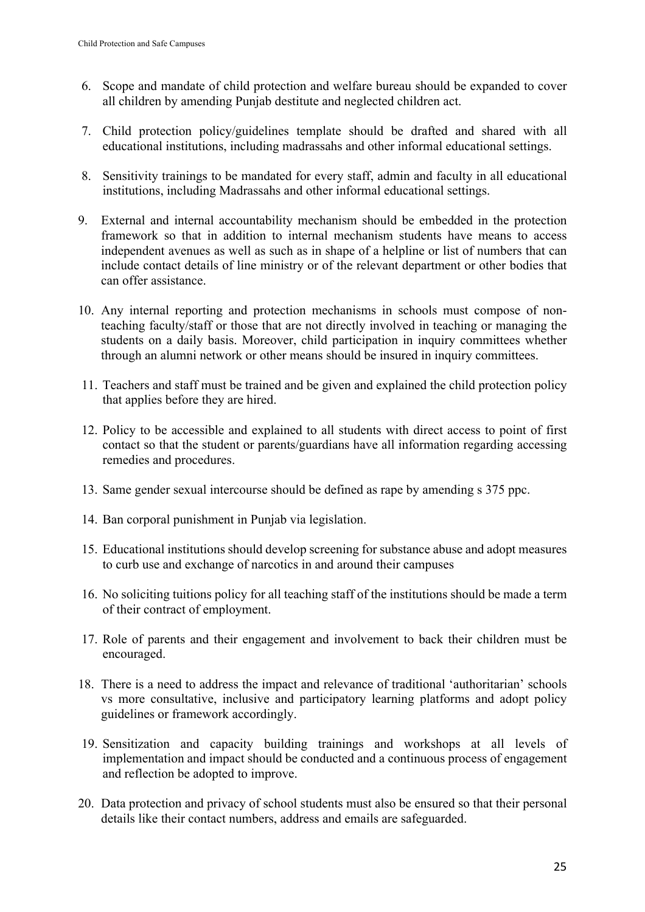- 6. Scope and mandate of child protection and welfare bureau should be expanded to cover all children by amending Punjab destitute and neglected children act.
- 7. Child protection policy/guidelines template should be drafted and shared with all educational institutions, including madrassahs and other informal educational settings.
- 8. Sensitivity trainings to be mandated for every staff, admin and faculty in all educational institutions, including Madrassahs and other informal educational settings.
- 9. External and internal accountability mechanism should be embedded in the protection framework so that in addition to internal mechanism students have means to access independent avenues as well as such as in shape of a helpline or list of numbers that can include contact details of line ministry or of the relevant department or other bodies that can offer assistance.
- 10. Any internal reporting and protection mechanisms in schools must compose of nonteaching faculty/staff or those that are not directly involved in teaching or managing the students on a daily basis. Moreover, child participation in inquiry committees whether through an alumni network or other means should be insured in inquiry committees.
- 11. Teachers and staff must be trained and be given and explained the child protection policy that applies before they are hired.
- 12. Policy to be accessible and explained to all students with direct access to point of first contact so that the student or parents/guardians have all information regarding accessing remedies and procedures.
- 13. Same gender sexual intercourse should be defined as rape by amending s 375 ppc.
- 14. Ban corporal punishment in Punjab via legislation.
- 15. Educational institutions should develop screening for substance abuse and adopt measures to curb use and exchange of narcotics in and around their campuses
- 16. No soliciting tuitions policy for all teaching staff of the institutions should be made a term of their contract of employment.
- 17. Role of parents and their engagement and involvement to back their children must be encouraged.
- 18. There is a need to address the impact and relevance of traditional 'authoritarian' schools vs more consultative, inclusive and participatory learning platforms and adopt policy guidelines or framework accordingly.
- 19. Sensitization and capacity building trainings and workshops at all levels of implementation and impact should be conducted and a continuous process of engagement and reflection be adopted to improve.
- 20. Data protection and privacy of school students must also be ensured so that their personal details like their contact numbers, address and emails are safeguarded.